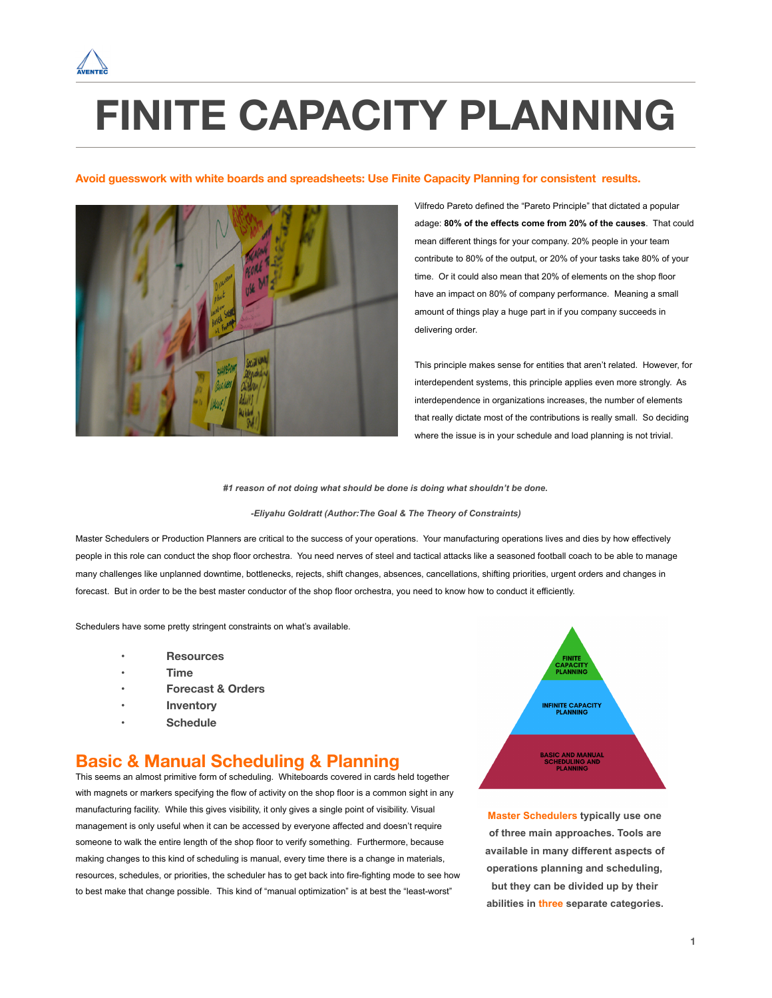

# **FINITE CAPACITY PLANNING**

#### **Avoid guesswork with white boards and spreadsheets: Use Finite Capacity Planning for consistent results.**



Vilfredo Pareto defined the "Pareto Principle" that dictated a popular adage: **80% of the effects come from 20% of the causes**. That could mean different things for your company. 20% people in your team contribute to 80% of the output, or 20% of your tasks take 80% of your time. Or it could also mean that 20% of elements on the shop floor have an impact on 80% of company performance. Meaning a small amount of things play a huge part in if you company succeeds in delivering order.

This principle makes sense for entities that aren't related. However, for interdependent systems, this principle applies even more strongly. As interdependence in organizations increases, the number of elements that really dictate most of the contributions is really small. So deciding where the issue is in your schedule and load planning is not trivial.

*#1 reason of not doing what should be done is doing what shouldn't be done.* 

#### *-Eliyahu Goldratt (Author:The Goal & The Theory of Constraints)*

Master Schedulers or Production Planners are critical to the success of your operations. Your manufacturing operations lives and dies by how effectively people in this role can conduct the shop floor orchestra. You need nerves of steel and tactical attacks like a seasoned football coach to be able to manage many challenges like unplanned downtime, bottlenecks, rejects, shift changes, absences, cancellations, shifting priorities, urgent orders and changes in forecast. But in order to be the best master conductor of the shop floor orchestra, you need to know how to conduct it efficiently.

Schedulers have some pretty stringent constraints on what's available.

- • **Resources**
- **• Time**
- **• Forecast & Orders**
- **• Inventory**
- **• Schedule**

### **Basic & Manual Scheduling & Planning**

This seems an almost primitive form of scheduling. Whiteboards covered in cards held together with magnets or markers specifying the flow of activity on the shop floor is a common sight in any manufacturing facility. While this gives visibility, it only gives a single point of visibility. Visual management is only useful when it can be accessed by everyone affected and doesn't require someone to walk the entire length of the shop floor to verify something. Furthermore, because making changes to this kind of scheduling is manual, every time there is a change in materials, resources, schedules, or priorities, the scheduler has to get back into fire-fighting mode to see how to best make that change possible. This kind of "manual optimization" is at best the "least-worst"



**Master Schedulers typically use one of three main approaches. Tools are available in many different aspects of operations planning and scheduling, but they can be divided up by their abilities in three separate categories.**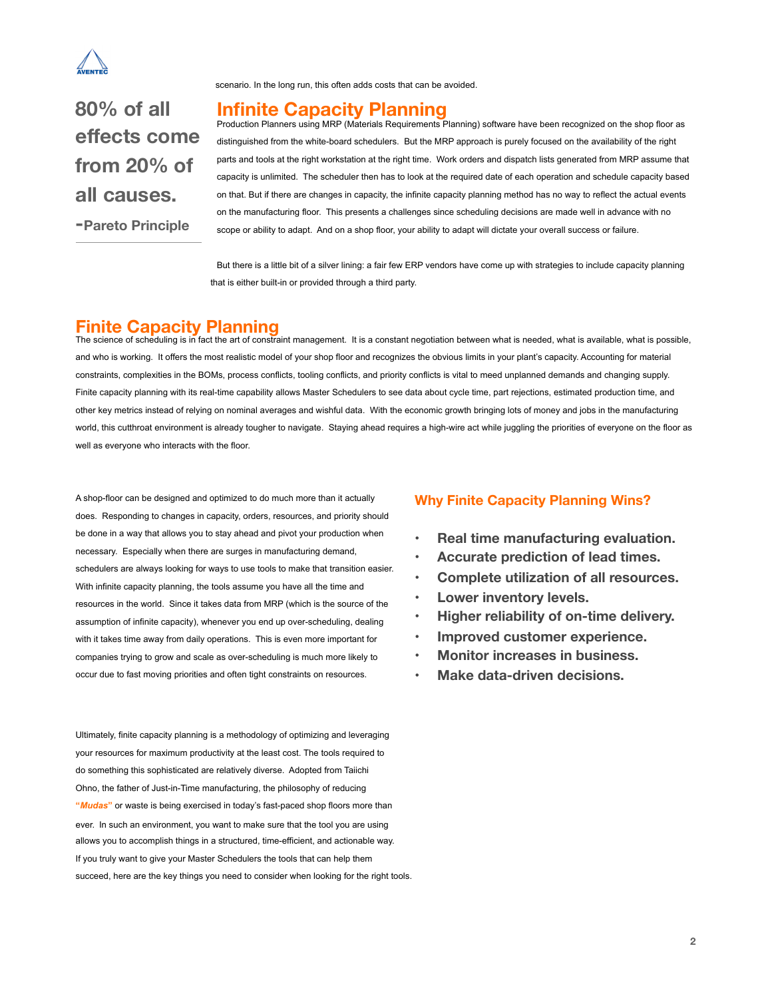

scenario. In the long run, this often adds costs that can be avoided.

**80% of all effects come from 20% of all causes.** 

**-Pareto Principle**

#### **Infinite Capacity Planning**

Production Planners using MRP (Materials Requirements Planning) software have been recognized on the shop floor as distinguished from the white-board schedulers. But the MRP approach is purely focused on the availability of the right parts and tools at the right workstation at the right time. Work orders and dispatch lists generated from MRP assume that capacity is unlimited. The scheduler then has to look at the required date of each operation and schedule capacity based on that. But if there are changes in capacity, the infinite capacity planning method has no way to reflect the actual events on the manufacturing floor. This presents a challenges since scheduling decisions are made well in advance with no scope or ability to adapt. And on a shop floor, your ability to adapt will dictate your overall success or failure.

But there is a little bit of a silver lining: a fair few ERP vendors have come up with strategies to include capacity planning that is either built-in or provided through a third party.

#### **Finite Capacity Planning**

The science of scheduling is in fact the art of constraint management. It is a constant negotiation between what is needed, what is available, what is possible, and who is working. It offers the most realistic model of your shop floor and recognizes the obvious limits in your plant's capacity. Accounting for material constraints, complexities in the BOMs, process conflicts, tooling conflicts, and priority conflicts is vital to meed unplanned demands and changing supply. Finite capacity planning with its real-time capability allows Master Schedulers to see data about cycle time, part rejections, estimated production time, and other key metrics instead of relying on nominal averages and wishful data. With the economic growth bringing lots of money and jobs in the manufacturing world, this cutthroat environment is already tougher to navigate. Staying ahead requires a high-wire act while juggling the priorities of everyone on the floor as well as everyone who interacts with the floor.

A shop-floor can be designed and optimized to do much more than it actually does. Responding to changes in capacity, orders, resources, and priority should be done in a way that allows you to stay ahead and pivot your production when necessary. Especially when there are surges in manufacturing demand, schedulers are always looking for ways to use tools to make that transition easier. With infinite capacity planning, the tools assume you have all the time and resources in the world. Since it takes data from MRP (which is the source of the assumption of infinite capacity), whenever you end up over-scheduling, dealing with it takes time away from daily operations. This is even more important for companies trying to grow and scale as over-scheduling is much more likely to occur due to fast moving priorities and often tight constraints on resources.

Ultimately, finite capacity planning is a methodology of optimizing and leveraging your resources for maximum productivity at the least cost. The tools required to do something this sophisticated are relatively diverse. Adopted from Taiichi Ohno, the father of Just-in-Time manufacturing, the philosophy of reducing **"***Mudas***"** or waste is being exercised in today's fast-paced shop floors more than ever. In such an environment, you want to make sure that the tool you are using allows you to accomplish things in a structured, time-efficient, and actionable way. If you truly want to give your Master Schedulers the tools that can help them succeed, here are the key things you need to consider when looking for the right tools.

#### **Why Finite Capacity Planning Wins?**

- **• Real time manufacturing evaluation.**
- **• Accurate prediction of lead times.**
- **• Complete utilization of all resources.**
- **• Lower inventory levels.**
- **• Higher reliability of on-time delivery.**
- **• Improved customer experience.**
- **• Monitor increases in business.**
- **• Make data-driven decisions.**